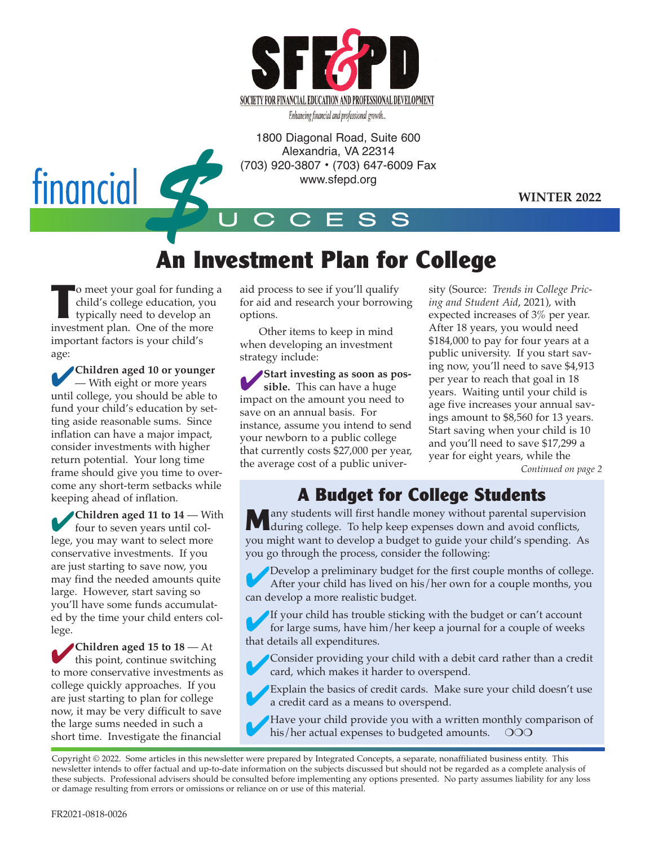

Enhancing financial and professional growth...

1800 Diagonal Road, Suite 600 Alexandria, VA 22314 (703) 920-3807 • (703) 647-6009 Fax www.sfepd.org



**WINTER 2022**

# **An Investment Plan for College**

UCCESS

**The UR COME STAR ISLAM CONCRETE SCHOOLS AND THE MOVE OF THE MOVE OF THE MOVE OF THE MOVE OF THE MOVE OF THE MOVE OF THE MOVE OF THE MOVE OF THE MOVE OF THE MOVE OF THE MOVE OF THE MOVE OF THE MOVE OF THE MOVE OF THE MOVE** o meet your goal for funding a child's college education, you typically need to develop an important factors is your child's age:

4**Children aged 10 or younger** — With eight or more years until college, you should be able to fund your child's education by setting aside reasonable sums. Since inflation can have a major impact, consider investments with higher return potential. Your long time frame should give you time to overcome any short-term setbacks while keeping ahead of inflation.

4**Children aged 11 to 14** — With four to seven years until college, you may want to select more conservative investments. If you are just starting to save now, you may find the needed amounts quite large. However, start saving so you'll have some funds accumulated by the time your child enters college.

4**Children aged 15 to 18** — At this point, continue switching to more conservative investments as college quickly approaches. If you are just starting to plan for college now, it may be very difficult to save the large sums needed in such a short time. Investigate the financial

aid process to see if you'll qualify for aid and research your borrowing options.

Other items to keep in mind when developing an investment strategy include:

4**Start investing as soon as possible.** This can have a huge impact on the amount you need to save on an annual basis. For instance, assume you intend to send your newborn to a public college that currently costs \$27,000 per year, the average cost of a public univer-

sity (Source: *Trends in College Pricing and Student Aid*, 2021), with expected increases of 3% per year. After 18 years, you would need \$184,000 to pay for four years at a public university. If you start saving now, you'll need to save \$4,913 per year to reach that goal in 18 years. Waiting until your child is age five increases your annual savings amount to \$8,560 for 13 years. Start saving when your child is 10 and you'll need to save \$17,299 a year for eight years, while the *Continued on page 2*

**A Budget for College Students**

any students will first handle money without parental supervision during college. To help keep expenses down and avoid conflicts, you might want to develop a budget to guide your child's spending. As you go through the process, consider the following:

Develop a preliminary budget for the first couple months of college. After your child has lived on his/her own for a couple months, you can develop a more realistic budget.

4If your child has trouble sticking with the budget or can't account for large sums, have him/her keep a journal for a couple of weeks that details all expenditures.

4Consider providing your child with a debit card rather than a credit card, which makes it harder to overspend.

Explain the basics of credit cards. Make sure your child doesn't use a credit card as a means to overspend.

Have your child provide you with a written monthly comparison of his/her actual expenses to budgeted amounts.  $\bigcirc$ his/her actual expenses to budgeted amounts.

Copyright © 2022. Some articles in this newsletter were prepared by Integrated Concepts, a separate, nonaffiliated business entity. This newsletter intends to offer factual and up-to-date information on the subjects discussed but should not be regarded as a complete analysis of these subjects. Professional advisers should be consulted before implementing any options presented. No party assumes liability for any loss or damage resulting from errors or omissions or reliance on or use of this material.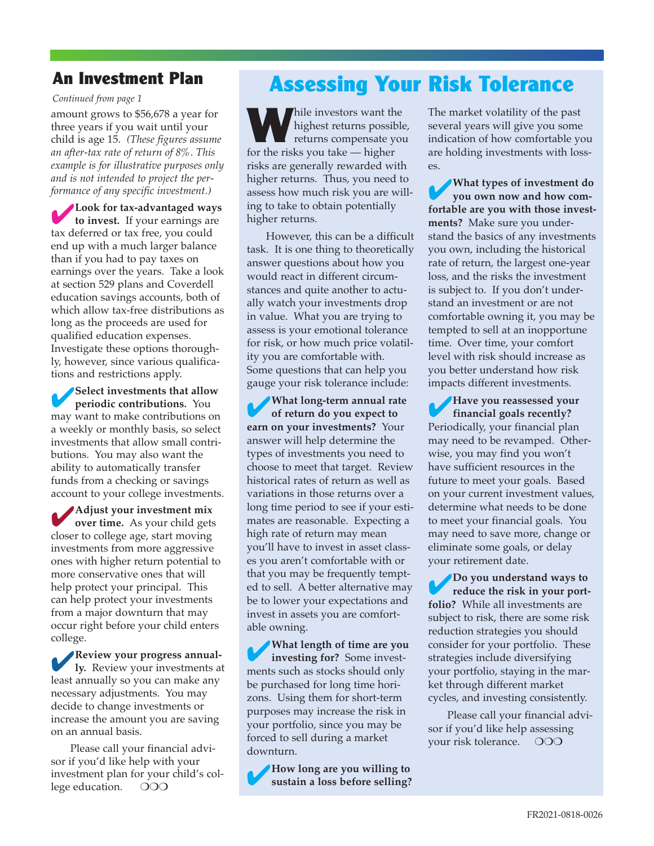#### **An Investment Plan**

*Continued from page 1*

amount grows to \$56,678 a year for three years if you wait until your child is age 15. *(These figures assume an after-tax rate of return of 8%. This example is for illustrative purposes only and is not intended to project the performance of any specific investment.)*

4**Look for tax-advantaged ways to invest.** If your earnings are tax deferred or tax free, you could end up with a much larger balance than if you had to pay taxes on earnings over the years. Take a look at section 529 plans and Coverdell education savings accounts, both of which allow tax-free distributions as long as the proceeds are used for qualified education expenses. Investigate these options thoroughly, however, since various qualifications and restrictions apply.

4**Select investments that allow periodic contributions.** You may want to make contributions on a weekly or monthly basis, so select investments that allow small contributions. You may also want the ability to automatically transfer funds from a checking or savings account to your college investments.

4**Adjust your investment mix over time.** As your child gets closer to college age, start moving investments from more aggressive ones with higher return potential to more conservative ones that will help protect your principal. This can help protect your investments from a major downturn that may occur right before your child enters college.

4**Review your progress annual-ly.** Review your investments at least annually so you can make any necessary adjustments. You may decide to change investments or increase the amount you are saving on an annual basis.

Please call your financial advisor if you'd like help with your investment plan for your child's college education. OOO

## **Assessing Your Risk Tolerance**

While investors want the highest returns possible, returns compensate you for the risks you take — higher risks are generally rewarded with higher returns. Thus, you need to assess how much risk you are willing to take to obtain potentially higher returns.

However, this can be a difficult task. It is one thing to theoretically answer questions about how you would react in different circumstances and quite another to actually watch your investments drop in value. What you are trying to assess is your emotional tolerance for risk, or how much price volatility you are comfortable with. Some questions that can help you gauge your risk tolerance include:

4**What long-term annual rate of return do you expect to earn on your investments?** Your answer will help determine the types of investments you need to choose to meet that target. Review historical rates of return as well as variations in those returns over a long time period to see if your estimates are reasonable. Expecting a high rate of return may mean you'll have to invest in asset classes you aren't comfortable with or that you may be frequently tempted to sell. A better alternative may be to lower your expectations and invest in assets you are comfortable owning.

4**What length of time are you investing for?** Some investments such as stocks should only be purchased for long time horizons. Using them for short-term purposes may increase the risk in your portfolio, since you may be forced to sell during a market downturn.

4**How long are you willing to sustain a loss before selling?**

The market volatility of the past several years will give you some indication of how comfortable you are holding investments with losses.

4**What types of investment do you own now and how comfortable are you with those investments?** Make sure you understand the basics of any investments you own, including the historical rate of return, the largest one-year loss, and the risks the investment is subject to. If you don't understand an investment or are not comfortable owning it, you may be tempted to sell at an inopportune time. Over time, your comfort level with risk should increase as you better understand how risk impacts different investments.

4**Have you reassessed your financial goals recently?** Periodically, your financial plan may need to be revamped. Otherwise, you may find you won't have sufficient resources in the future to meet your goals. Based on your current investment values, determine what needs to be done to meet your financial goals. You may need to save more, change or eliminate some goals, or delay your retirement date.

4**Do you understand ways to reduce the risk in your portfolio?** While all investments are subject to risk, there are some risk reduction strategies you should consider for your portfolio. These strategies include diversifying your portfolio, staying in the market through different market cycles, and investing consistently.

Please call your financial advisor if you'd like help assessing your risk tolerance. OOO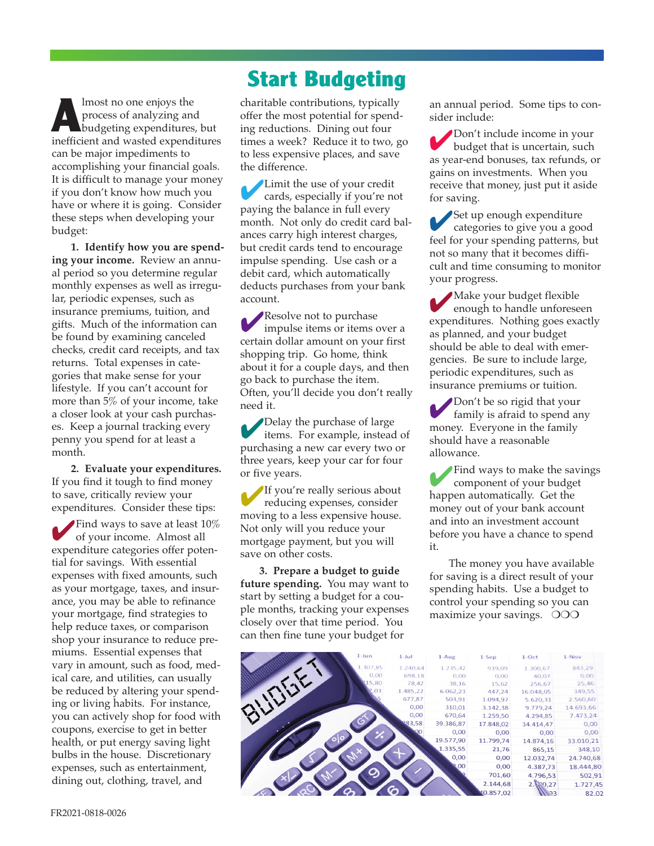**ALL**<br>ALL process of analyzing and<br>budgeting expenditures, but<br>inefficient and wasted expenditure process of analyzing and inefficient and wasted expenditures can be major impediments to accomplishing your financial goals. It is difficult to manage your money if you don't know how much you have or where it is going. Consider these steps when developing your budget:

**1. Identify how you are spending your income.** Review an annual period so you determine regular monthly expenses as well as irregular, periodic expenses, such as insurance premiums, tuition, and gifts. Much of the information can be found by examining canceled checks, credit card receipts, and tax returns. Total expenses in categories that make sense for your lifestyle. If you can't account for more than 5% of your income, take a closer look at your cash purchases. Keep a journal tracking every penny you spend for at least a month.

**2. Evaluate your expenditures.** If you find it tough to find money to save, critically review your expenditures. Consider these tips:

**Find ways to save at least 10%** of your income. Almost all expenditure categories offer potential for savings. With essential expenses with fixed amounts, such as your mortgage, taxes, and insurance, you may be able to refinance your mortgage, find strategies to help reduce taxes, or comparison shop your insurance to reduce premiums. Essential expenses that vary in amount, such as food, medical care, and utilities, can usually be reduced by altering your spending or living habits. For instance, you can actively shop for food with coupons, exercise to get in better health, or put energy saving light bulbs in the house. Discretionary expenses, such as entertainment, dining out, clothing, travel, and

## **Start Budgeting**

charitable contributions, typically offer the most potential for spending reductions. Dining out four times a week? Reduce it to two, go to less expensive places, and save the difference.

4Limit the use of your credit cards, especially if you're not paying the balance in full every month. Not only do credit card balances carry high interest charges, but credit cards tend to encourage impulse spending. Use cash or a debit card, which automatically deducts purchases from your bank account.

Resolve not to purchase impulse items or items over a certain dollar amount on your first shopping trip. Go home, think about it for a couple days, and then go back to purchase the item. Often, you'll decide you don't really need it.

Delay the purchase of large items. For example, instead of purchasing a new car every two or three years, keep your car for four or five years.

4If you're really serious about reducing expenses, consider moving to a less expensive house. Not only will you reduce your mortgage payment, but you will save on other costs.

**3. Prepare a budget to guide future spending.** You may want to start by setting a budget for a couple months, tracking your expenses closely over that time period. You can then fine tune your budget for

an annual period. Some tips to consider include:

4Don't include income in your budget that is uncertain, such as year-end bonuses, tax refunds, or gains on investments. When you receive that money, just put it aside for saving.

4Set up enough expenditure categories to give you a good feel for your spending patterns, but not so many that it becomes difficult and time consuming to monitor your progress.

4Make your budget flexible enough to handle unforeseen expenditures. Nothing goes exactly as planned, and your budget should be able to deal with emergencies. Be sure to include large, periodic expenditures, such as insurance premiums or tuition.

4Don't be so rigid that your family is afraid to spend any money. Everyone in the family should have a reasonable allowance.

4Find ways to make the savings component of your budget happen automatically. Get the money out of your bank account and into an investment account before you have a chance to spend it.

The money you have available for saving is a direct result of your spending habits. Use a budget to control your spending so you can maximize your savings. OOO

| $1 - Jun$ | $1 -$ Jul | $1-Au$ g  | $1-$ Sep         | $1-Oct$   | $1 - N$ ov |  |
|-----------|-----------|-----------|------------------|-----------|------------|--|
| 1.307,85  | 1.240,64  | 1.235,42  | 939,09           | 1.300,67  | 843,29     |  |
| 0,00      | 698,18    | 0.00      | 0,00             | 40,07     | 0.00       |  |
| 5,80      | 78,42     | 38,16     | 15.62            | 256,67    | 25,46      |  |
|           | 1.485,22  | 6.062,23  | 447,24           | 16.048.05 | 349,55     |  |
|           | 677,87    | 503.91    | 1.094,97         | 5.620,31  | 2.560,60   |  |
|           | 0,00      | 310.01    | 3.142,38         | 9.779.24  | 14.693,66  |  |
|           | 0,00      | 670.64    | 1.259,50         | 4.294,85  | 7.473,24   |  |
|           | 83,58     | 39.386,87 | 17.848,02        | 34.414,47 | 0,00       |  |
|           |           | 0,00      | 0,00             | 0,00      | 0,00       |  |
|           |           | 19.577,90 | 11.799,74        | 14.874,16 | 33.010,21  |  |
|           |           | 1.335,55  | 21,76            | 865,15    | 348,10     |  |
|           |           | 0,00      | 0,00             | 12.032,74 | 24.740.68  |  |
|           |           | .00       | 0,00             | 4.387.73  | 18.444,80  |  |
|           |           |           | 701,60           | 4.796,53  | 502.91     |  |
|           |           |           | 2.144,68         | 2.170,27  | 1.727,45   |  |
|           |           |           | <b>10.857.02</b> | ່າວ       | 0202       |  |